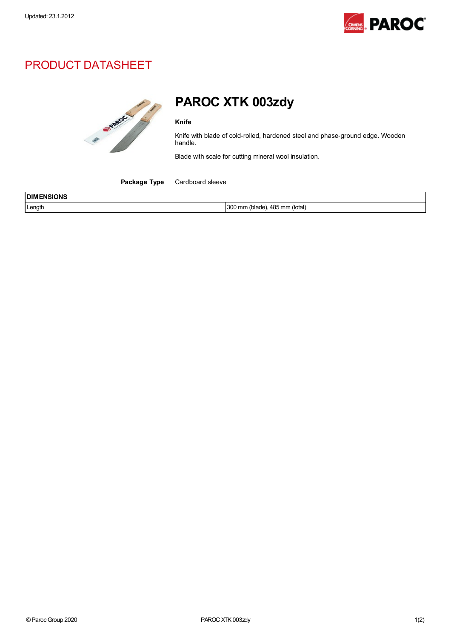

## PRODUCT DATASHEET



## PAROC XTK 003zdy

Knife

Knife with blade of cold-rolled, hardened steel and phase-ground edge. Wooden handle.

Blade with scale for cutting mineral wool insulation.

Package Type Cardboard sleeve

| <b>ISIONS</b><br><b>IDIM</b><br>:NSI |                                                        |
|--------------------------------------|--------------------------------------------------------|
| Length                               | AB5<br>ാറ്<br>` (total) ،<br>mm<br>`םמפוח<br>mn<br>⊤∪∪ |